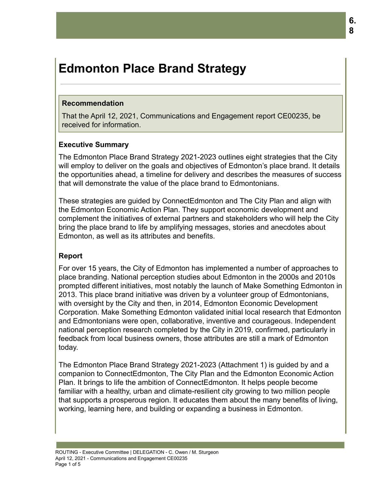# **Edmonton Place Brand Strategy**

#### **Recommendation**

That the April 12, 2021, Communications and Engagement report CE00235, be received for information.

#### **Executive Summary**

The Edmonton Place Brand Strategy 2021-2023 outlines eight strategies that the City will employ to deliver on the goals and objectives of Edmonton's place brand. It details the opportunities ahead, a timeline for delivery and describes the measures of success that will demonstrate the value of the place brand to Edmontonians.

These strategies are guided by ConnectEdmonton and The City Plan and align with the Edmonton Economic Action Plan. They support economic development and complement the initiatives of external partners and stakeholders who will help the City bring the place brand to life by amplifying messages, stories and anecdotes about Edmonton, as well as its attributes and benefits.

#### **Report**

For over 15 years, the City of Edmonton has implemented a number of approaches to place branding. National perception studies about Edmonton in the 2000s and 2010s prompted different initiatives, most notably the launch of Make Something Edmonton in 2013. This place brand initiative was driven by a volunteer group of Edmontonians, with oversight by the City and then, in 2014, Edmonton Economic Development Corporation. Make Something Edmonton validated initial local research that Edmonton and Edmontonians were open, collaborative, inventive and courageous. Independent national perception research completed by the City in 2019, confirmed, particularly in feedback from local business owners, those attributes are still a mark of Edmonton today.

The Edmonton Place Brand Strategy 2021-2023 (Attachment 1) is guided by and a companion to ConnectEdmonton, The City Plan and the Edmonton Economic Action Plan. It brings to life the ambition of ConnectEdmonton. It helps people become familiar with a healthy, urban and climate-resilient city growing to two million people that supports a prosperous region. It educates them about the many benefits of living, working, learning here, and building or expanding a business in Edmonton.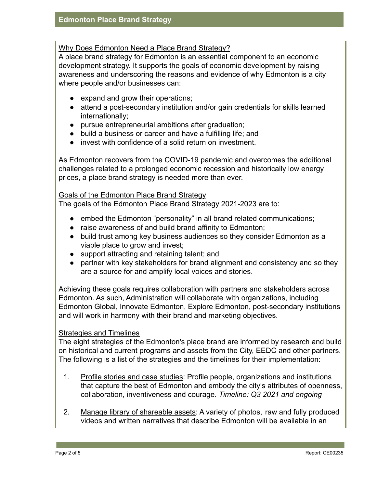#### Why Does Edmonton Need a Place Brand Strategy?

A place brand strategy for Edmonton is an essential component to an economic development strategy. It supports the goals of economic development by raising awareness and underscoring the reasons and evidence of why Edmonton is a city where people and/or businesses can:

- expand and grow their operations;
- attend a post-secondary institution and/or gain credentials for skills learned internationally;
- pursue entrepreneurial ambitions after graduation;
- build a business or career and have a fulfilling life; and
- invest with confidence of a solid return on investment.

As Edmonton recovers from the COVID-19 pandemic and overcomes the additional challenges related to a prolonged economic recession and historically low energy prices, a place brand strategy is needed more than ever.

#### Goals of the Edmonton Place Brand Strategy

The goals of the Edmonton Place Brand Strategy 2021-2023 are to:

- embed the Edmonton "personality" in all brand related communications;
- raise awareness of and build brand affinity to Edmonton;
- build trust among key business audiences so they consider Edmonton as a viable place to grow and invest;
- support attracting and retaining talent; and
- partner with key stakeholders for brand alignment and consistency and so they are a source for and amplify local voices and stories.

Achieving these goals requires collaboration with partners and stakeholders across Edmonton. As such, Administration will collaborate with organizations, including Edmonton Global, Innovate Edmonton, Explore Edmonton, post-secondary institutions and will work in harmony with their brand and marketing objectives.

#### Strategies and Timelines

The eight strategies of the Edmonton's place brand are informed by research and build on historical and current programs and assets from the City, EEDC and other partners. The following is a list of the strategies and the timelines for their implementation:

- 1. Profile stories and case studies: Profile people, organizations and institutions that capture the best of Edmonton and embody the city's attributes of openness, collaboration, inventiveness and courage. *Timeline: Q3 2021 and ongoing*
- 2. Manage library of shareable assets: A variety of photos, raw and fully produced videos and written narratives that describe Edmonton will be available in an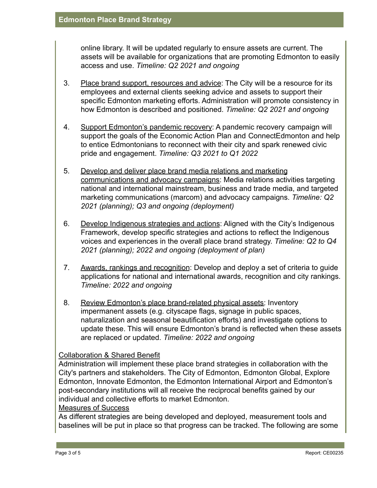online library. It will be updated regularly to ensure assets are current. The assets will be available for organizations that are promoting Edmonton to easily access and use. *Timeline: Q2 2021 and ongoing*

- 3. Place brand support, resources and advice: The City will be a resource for its employees and external clients seeking advice and assets to support their specific Edmonton marketing efforts. Administration will promote consistency in how Edmonton is described and positioned. *Timeline: Q2 2021 and ongoing*
- 4. Support Edmonton's pandemic recovery: A pandemic recovery campaign will support the goals of the Economic Action Plan and ConnectEdmonton and help to entice Edmontonians to reconnect with their city and spark renewed civic pride and engagement. *Timeline: Q3 2021 to Q1 2022*
- 5. Develop and deliver place brand media relations and marketing communications and advocacy campaigns: Media relations activities targeting national and international mainstream, business and trade media, and targeted marketing communications (marcom) and advocacy campaigns. *Timeline: Q2 2021 (planning); Q3 and ongoing (deployment)*
- 6. Develop Indigenous strategies and actions: Aligned with the City's Indigenous Framework, develop specific strategies and actions to reflect the Indigenous voices and experiences in the overall place brand strategy. *Timeline: Q2 to Q4 2021 (planning); 2022 and ongoing (deployment of plan)*
- 7. Awards, rankings and recognition: Develop and deploy a set of criteria to guide applications for national and international awards, recognition and city rankings. *Timeline: 2022 and ongoing*
- 8. Review Edmonton's place brand-related physical assets: Inventory impermanent assets (e.g. cityscape flags, signage in public spaces, naturalization and seasonal beautification efforts) and investigate options to update these. This will ensure Edmonton's brand is reflected when these assets are replaced or updated. *Timeline: 2022 and ongoing*

### Collaboration & Shared Benefit

Administration will implement these place brand strategies in collaboration with the City's partners and stakeholders. The City of Edmonton, Edmonton Global, Explore Edmonton, Innovate Edmonton, the Edmonton International Airport and Edmonton's post-secondary institutions will all receive the reciprocal benefits gained by our individual and collective efforts to market Edmonton.

#### Measures of Success

As different strategies are being developed and deployed, measurement tools and baselines will be put in place so that progress can be tracked. The following are some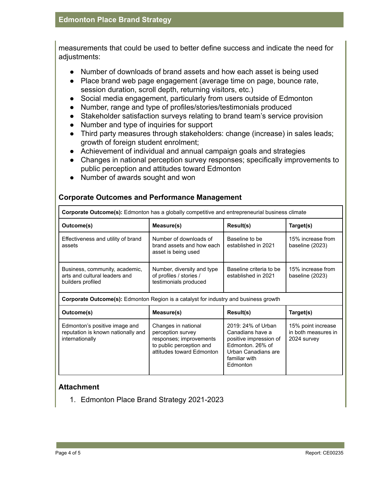measurements that could be used to better define success and indicate the need for adjustments:

- Number of downloads of brand assets and how each asset is being used
- Place brand web page engagement (average time on page, bounce rate, session duration, scroll depth, returning visitors, etc.)
- Social media engagement, particularly from users outside of Edmonton
- Number, range and type of profiles/stories/testimonials produced
- Stakeholder satisfaction surveys relating to brand team's service provision
- Number and type of inquiries for support
- Third party measures through stakeholders: change (increase) in sales leads; growth of foreign student enrolment;
- Achievement of individual and annual campaign goals and strategies
- Changes in national perception survey responses; specifically improvements to public perception and attitudes toward Edmonton
- Number of awards sought and won

| <b>Corporate Outcome(s):</b> Edmonton has a globally competitive and entrepreneurial business climate |                                                                                                                              |                                                                                                                                          |                                                          |
|-------------------------------------------------------------------------------------------------------|------------------------------------------------------------------------------------------------------------------------------|------------------------------------------------------------------------------------------------------------------------------------------|----------------------------------------------------------|
| Outcome(s)                                                                                            | Measure(s)                                                                                                                   | Result(s)                                                                                                                                | Target(s)                                                |
| Effectiveness and utility of brand<br>assets                                                          | Number of downloads of<br>brand assets and how each<br>asset is being used                                                   | Baseline to be<br>established in 2021                                                                                                    | 15% increase from<br>baseline (2023)                     |
| Business, community, academic,<br>arts and cultural leaders and<br>builders profiled                  | Number, diversity and type<br>of profiles / stories /<br>testimonials produced                                               | Baseline criteria to be<br>established in 2021                                                                                           | 15% increase from<br>baseline (2023)                     |
| <b>Corporate Outcome(s):</b> Edmonton Region is a catalyst for industry and business growth           |                                                                                                                              |                                                                                                                                          |                                                          |
| Outcome(s)                                                                                            | Measure(s)                                                                                                                   | Result(s)                                                                                                                                | Target(s)                                                |
| Edmonton's positive image and<br>reputation is known nationally and<br>internationally                | Changes in national<br>perception survey<br>responses; improvements<br>to public perception and<br>attitudes toward Edmonton | 2019: 24% of Urban<br>Canadians have a<br>positive impression of<br>Edmonton, 26% of<br>Urban Canadians are<br>familiar with<br>Edmonton | 15% point increase<br>in both measures in<br>2024 survey |

#### **Corporate Outcomes and Performance Management**

#### **Attachment**

1. Edmonton Place Brand Strategy 2021-2023